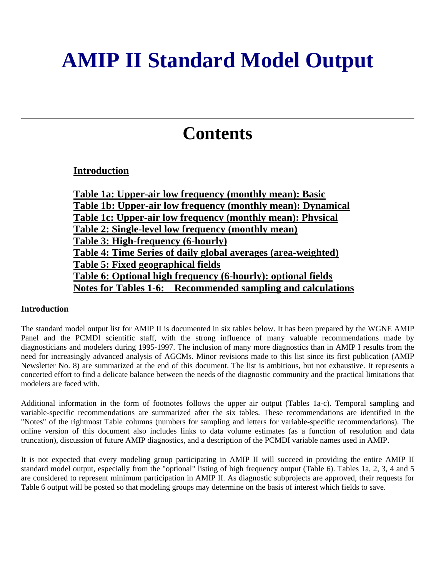# **AMIP II Standard Model Output**

# **Contents**

# **Introduction**

**Table 1a: Upper-air low frequency (monthly mean): Basic Table 1b: Upper-air low frequency (monthly mean): Dynamical Table 1c: Upper-air low frequency (monthly mean): Physical Table 2: Single-level low frequency (monthly mean) Table 3: High-frequency (6-hourly) Table 4: Time Series of daily global averages (area-weighted) Table 5: Fixed geographical fields Table 6: Optional high frequency (6-hourly): optional fields Notes for Tables 1-6: Recommended sampling and calculations**

## **Introduction**

The standard model output list for AMIP II is documented in six tables below. It has been prepared by the WGNE AMIP Panel and the PCMDI scientific staff, with the strong influence of many valuable recommendations made by diagnosticians and modelers during 1995-1997. The inclusion of many more diagnostics than in AMIP I results from the need for increasingly advanced analysis of AGCMs. Minor revisions made to this list since its first publication (AMIP Newsletter No. 8) are summarized at the end of this document. The list is ambitious, but not exhaustive. It represents a concerted effort to find a delicate balance between the needs of the diagnostic community and the practical limitations that modelers are faced with.

Additional information in the form of footnotes follows the upper air output (Tables 1a-c). Temporal sampling and variable-specific recommendations are summarized after the six tables. These recommendations are identified in the "Notes" of the rightmost Table columns (numbers for sampling and letters for variable-specific recommendations). The online version of this document also includes links to data volume estimates (as a function of resolution and data truncation), discussion of future AMIP diagnostics, and a description of the PCMDI variable names used in AMIP.

It is not expected that every modeling group participating in AMIP II will succeed in providing the entire AMIP II standard model output, especially from the "optional" listing of high frequency output (Table 6). Tables 1a, 2, 3, 4 and 5 are considered to represent minimum participation in AMIP II. As diagnostic subprojects are approved, their requests for Table 6 output will be posted so that modeling groups may determine on the basis of interest which fields to save.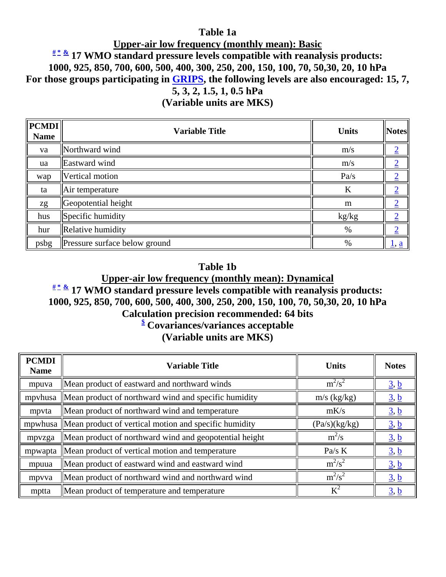# **Table 1a**

# **Upper-air low frequency (monthly mean): Basic # \* & 17 WMO standard pressure levels compatible with reanalysis products: 1000, 925, 850, 700, 600, 500, 400, 300, 250, 200, 150, 100, 70, 50,30, 20, 10 hPa For those groups participating in GRIPS, the following levels are also encouraged: 15, 7, 5, 3, 2, 1.5, 1, 0.5 hPa**

**(Variable units are MKS)** 

| $\ $ <b>PCMDI</b> $\ $<br><b>Name</b> | <b>Variable Title</b>         | <b>Units</b> | <b>Notes</b>                   |
|---------------------------------------|-------------------------------|--------------|--------------------------------|
| va                                    | Northward wind                | m/s          | ◠                              |
| ua                                    | Eastward wind                 | m/s          |                                |
| wap                                   | Vertical motion               | Pa/s         | ≙                              |
| ta                                    | Air temperature               | K            |                                |
| zg                                    | Geopotential height           | m            |                                |
| hus                                   | Specific humidity             | kg/kg        |                                |
| hur                                   | Relative humidity             | $\%$         | ◠                              |
| psbg                                  | Pressure surface below ground | $\%$         | $\underline{1}, \underline{a}$ |

# **Table 1b**

# **Upper-air low frequency (monthly mean): Dynamical # \* & 17 WMO standard pressure levels compatible with reanalysis products: 1000, 925, 850, 700, 600, 500, 400, 300, 250, 200, 150, 100, 70, 50,30, 20, 10 hPa Calculation precision recommended: 64 bits \$ Covariances/variances acceptable (Variable units are MKS)**

| <b>PCMDI</b><br><b>Name</b> | <b>Variable Title</b>                                         | <b>Units</b>  | <b>Notes</b>                   |
|-----------------------------|---------------------------------------------------------------|---------------|--------------------------------|
| mpuva                       | Mean product of eastward and northward winds                  | $m^2/s^2$     | $\underline{3}, \underline{b}$ |
| mpyhusa                     | Mean product of northward wind and specific humidity          | $m/s$ (kg/kg) | $\underline{3}, \underline{b}$ |
| mpyta                       | Mean product of northward wind and temperature                | mK/s          | $\underline{3}, \underline{b}$ |
|                             | mpwhusa Mean product of vertical motion and specific humidity | (Pa/s)(kg/kg) | $\underline{3}, \underline{b}$ |
| mpvzga                      | Mean product of northward wind and geopotential height        | $m^2/s$       | $\underline{3}, \underline{b}$ |
|                             | mpwapta   Mean product of vertical motion and temperature     | Pa/s $K$      | $\underline{3}, \underline{b}$ |
| mpuua                       | Mean product of eastward wind and eastward wind               | $m^2/s^2$     | $\underline{3}, \underline{b}$ |
| mpyya                       | Mean product of northward wind and northward wind             | $m^2/s^2$     | $\underline{3}, \underline{b}$ |
| mptta                       | Mean product of temperature and temperature                   | $K^2$         | $\underline{3}, \underline{b}$ |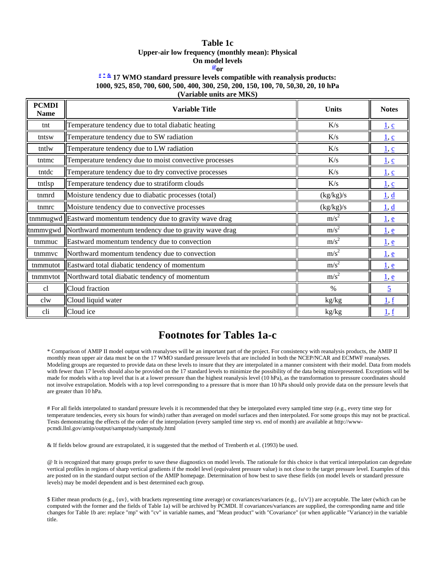#### **Table 1c Upper-air low frequency (monthly mean): Physical On model levels @or**

#### **# \* & 17 WMO standard pressure levels compatible with reanalysis products: 1000, 925, 850, 700, 600, 500, 400, 300, 250, 200, 150, 100, 70, 50,30, 20, 10 hPa (Variable units are MKS)**

| <b>PCMDI</b><br><b>Name</b> | <b>Variable Title</b>                                          | <b>Units</b>     | <b>Notes</b>                   |
|-----------------------------|----------------------------------------------------------------|------------------|--------------------------------|
| tnt                         | Temperature tendency due to total diabatic heating             | K/s              | $\underline{1}, \underline{c}$ |
| tntsw                       | Temperature tendency due to SW radiation                       | K/s              | $\underline{1}, \underline{c}$ |
| tntlw                       | Temperature tendency due to LW radiation                       | K/s              | $\underline{1}, \underline{c}$ |
| tntmc                       | Temperature tendency due to moist convective processes         | K/s              | $\underline{1}, \underline{c}$ |
| tntdc                       | Temperature tendency due to dry convective processes           | K/s              | $\underline{1}, \underline{c}$ |
| tntlsp                      | Temperature tendency due to stratiform clouds                  | K/s              | 1, c                           |
| tnmrd                       | Moisture tendency due to diabatic processes (total)            | (kg/kg)/s        | $\underline{1}, \underline{d}$ |
| tnmrc                       | Moisture tendency due to convective processes                  | (kg/kg)/s        | $\underline{1}, \underline{d}$ |
|                             | tnmmugwd Eastward momentum tendency due to gravity wave drag   | m/s <sup>2</sup> | $\underline{1}, \underline{e}$ |
|                             | tnmmvgwd  Northward momentum tendency due to gravity wave drag | m/s <sup>2</sup> | $\underline{1}, \underline{e}$ |
| tnmmuc                      | Eastward momentum tendency due to convection                   | m/s <sup>2</sup> | $\underline{1}, \underline{e}$ |
| tnmmvc                      | Northward momentum tendency due to convection                  | m/s <sup>2</sup> | $\underline{1}, \underline{e}$ |
| tnmmutot                    | Eastward total diabatic tendency of momentum                   | m/s <sup>2</sup> | $\underline{1}, \underline{e}$ |
| tnmmvtot                    | Northward total diabatic tendency of momentum                  | m/s <sup>2</sup> | $\underline{1}, \underline{e}$ |
| cl                          | Cloud fraction                                                 | $\%$             | $\overline{5}$                 |
| clw                         | Cloud liquid water                                             | $\,kg/kg$        | 1, f                           |
| cli                         | Cloud ice                                                      | kg/kg            | $\underline{1}, \underline{f}$ |

# **Footnotes for Tables 1a-c**

\* Comparison of AMIP II model output with reanalyses will be an important part of the project. For consistency with reanalysis products, the AMIP II monthly mean upper air data must be on the 17 WMO standard pressure levels that are included in both the NCEP/NCAR and ECMWF reanalyses. Modeling groups are requested to provide data on these levels to insure that they are interpolated in a manner consistent with their model. Data from models with fewer than 17 levels should also be provided on the 17 standard levels to minimize the possibility of the data being misrepresented. Exceptions will be made for models with a top level that is at a lower pressure than the highest reanalysis level (10 hPa), as the transformation to pressure coordinates should not involve extrapolation. Models with a top level corresponding to a pressure that is more than 10 hPa should only provide data on the pressure levels that are greater than 10 hPa.

# For all fields interpolated to standard pressure levels it is recommended that they be interpolated every sampled time step (e.g., every time step for temperature tendencies, every six hours for winds) rather than averaged on model surfaces and then interpolated. For some groups this may not be practical. Tests demonstrating the effects of the order of the interpolation (every sampled time step vs. end of month) are available at http://wwwpcmdi.llnl.gov/amip/output/sampstudy/sampstudy.html

& If fields below ground are extrapolated, it is suggested that the method of Trenberth et al. (1993) be used.

@ It is recognized that many groups prefer to save these diagnostics on model levels. The rationale for this choice is that vertical interpolation can degredate vertical profiles in regions of sharp vertical gradients if the model level (equivalent pressure value) is not close to the target pressure level. Examples of this are posted on in the standard output section of the AMIP homepage. Determination of how best to save these fields (on model levels or standard pressure levels) may be model dependent and is best determined each group.

\$ Either mean products (e.g., {uv}, with brackets representing time average) or covariances/variances (e.g., {u'v'}) are acceptable. The later (which can be computed with the former and the fields of Table 1a) will be archived by PCMDI. If covariances/variances are supplied, the corresponding name and title changes for Table 1b are: replace "mp" with "cv" in variable names, and "Mean product" with "Covariance" (or when applicable "Variance) in the variable title.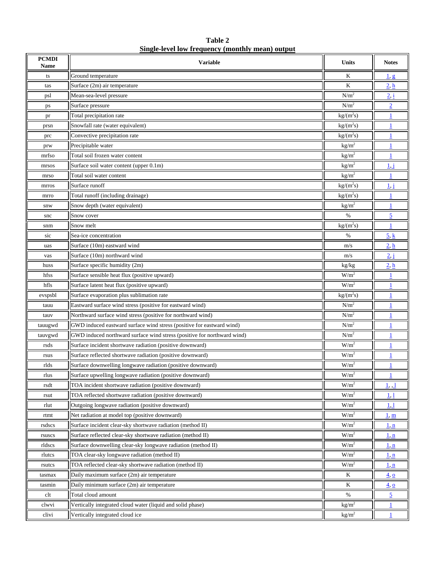| Table 2                                          |  |
|--------------------------------------------------|--|
| Single-level low frequency (monthly mean) output |  |
|                                                  |  |

| <b>PCMDI</b><br>Name | <b>Variable</b>                                                         | Units             | <b>Notes</b>                    |
|----------------------|-------------------------------------------------------------------------|-------------------|---------------------------------|
| ts                   | Ground temperature                                                      | K                 | 1, g                            |
| tas                  | Surface (2m) air temperature                                            | K                 | 2 <sub>h</sub>                  |
| psl                  | Mean-sea-level pressure                                                 | N/m <sup>2</sup>  | 2, i                            |
| ps                   | Surface pressure                                                        | N/m <sup>2</sup>  | $\overline{2}$                  |
| pr                   | Total precipitation rate                                                | $kg/(m^2s)$       |                                 |
| prsn                 | Snowfall rate (water equivalent)                                        | $kg/(m^2s)$       | 1                               |
| prc                  | Convective precipitation rate                                           | $kg/(m^2s)$       |                                 |
| prw                  | Precipitable water                                                      | kg/m <sup>2</sup> |                                 |
| mrfso                | Total soil frozen water content                                         | kg/m <sup>2</sup> |                                 |
| mrsos                | Surface soil water content (upper 0.1m)                                 | kg/m <sup>2</sup> | $1\text{J}$                     |
| mrso                 | Total soil water content                                                | kg/m <sup>2</sup> |                                 |
| mrros                | Surface runoff                                                          | $kg/(m^2s)$       | 1 i                             |
| mrro                 | Total runoff (including drainage)                                       | $kg/(m^2s)$       | 1                               |
| snw                  | Snow depth (water equivalent)                                           | $\text{kg/m}^2$   |                                 |
| snc                  | Snow cover                                                              | %                 | $\overline{5}$                  |
| snm                  | Snow melt                                                               | $kg/(m^2s)$       |                                 |
| sic                  | Sea-ice concentration                                                   | $\%$              | $5 \underline{k}$               |
| uas                  | Surface (10m) eastward wind                                             | m/s               | 2, h                            |
| vas                  | Surface (10m) northward wind                                            | m/s               | $2 \,\mathrm{j}$                |
| huss                 | Surface specific humidity (2m)                                          | kg/kg             | 2 <sub>h</sub>                  |
| hfss                 | Surface sensible heat flux (positive upward)                            | W/m <sup>2</sup>  |                                 |
| hfls                 | Surface latent heat flux (positive upward)                              | $W/m^2$           |                                 |
| evspsbl              | Surface evaporation plus sublimation rate                               | $kg/(m^2s)$       |                                 |
| tauu                 | Eastward surface wind stress (positive for eastward wind)               | N/m <sup>2</sup>  | 1                               |
| tauv                 | Northward surface wind stress (positive for northward wind)             | N/m <sup>2</sup>  |                                 |
| tauugwd              | GWD induced eastward surface wind stress (positive for eastward wind)   | N/m <sup>2</sup>  |                                 |
| tauvgwd              | GWD induced northward surface wind stress (positive for northward wind) | N/m <sup>2</sup>  |                                 |
| rsds                 | Surface incident shortwave radiation (positive downward)                | $W/m^2$           |                                 |
| rsus                 | Surface reflected shortwave radiation (positive downward)               | W/m <sup>2</sup>  |                                 |
| rlds                 | Surface downwelling longwave radiation (positive downward)              | W/m <sup>2</sup>  |                                 |
| rlus                 | Surface upwelling longwave radiation (positive downward)                | W/m <sup>2</sup>  |                                 |
| rsdt                 | TOA incident shortwave radiation (positive downward)                    | $W/m^2$           | 1, 1                            |
| rsut                 | TOA reflected shortwave radiation (positive downward)                   | W/m <sup>2</sup>  | 1,1                             |
| rlut                 | Outgoing longwave radiation (positive downward)                         | $W/m^2$           | 1,1                             |
| rtmt                 | Net radiation at model top (positive downward)                          | W/m <sup>2</sup>  | 1, m                            |
| rsdscs               | Surface incident clear-sky shortwave radiation (method II)              | W/m <sup>2</sup>  | <u>1 n</u>                      |
| rsuscs               | Surface reflected clear-sky shortwave radiation (method II)             | W/m <sup>2</sup>  | 1, n                            |
| rldscs               | Surface downwelling clear-sky longwave radiation (method II)            | W/m <sup>2</sup>  | 1, n                            |
| rlutcs               | TOA clear-sky longwave radiation (method II)                            | W/m <sup>2</sup>  | <u>1, n</u>                     |
| rsutcs               | TOA reflected clear-sky shortwave radiation (method II)                 | W/m <sup>2</sup>  | 1, n                            |
| tasmax               | Daily maximum surface (2m) air temperature                              | K                 | $\overline{4}$ , $\overline{0}$ |
| tasmin               | Daily minimum surface (2m) air temperature                              | K                 | $\frac{4}{9}$                   |
| clt                  | Total cloud amount                                                      | $\%$              | $\overline{2}$                  |
| clwvi                | Vertically integrated cloud water (liquid and solid phase)              | $\text{kg/m}^2$   |                                 |
| clivi                | Vertically integrated cloud ice                                         | $\text{kg/m}^2$   | $\mathbf{1}$                    |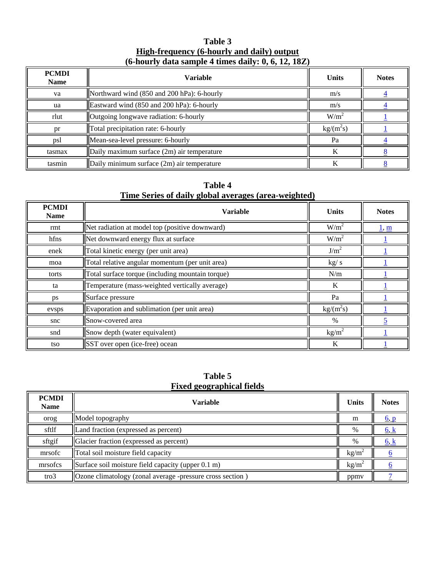#### **Table 3 High-frequency (6-hourly and daily) output (6-hourly data sample 4 times daily: 0, 6, 12, 18Z)**

| <b>PCMDI</b><br><b>Name</b> | <b>Variable</b>                            | <b>Units</b>              | <b>Notes</b> |
|-----------------------------|--------------------------------------------|---------------------------|--------------|
| va                          | Northward wind (850 and 200 hPa): 6-hourly | m/s                       |              |
| ua                          | Eastward wind (850 and 200 hPa): 6-hourly  | m/s                       |              |
| rlut                        | Outgoing longwave radiation: 6-hourly      | W/m <sup>2</sup>          |              |
| pr                          | Total precipitation rate: 6-hourly         | $\text{kg/(m}^2\text{s})$ |              |
| psl                         | Mean-sea-level pressure: 6-hourly          | Pa                        |              |
| tasmax                      | Daily maximum surface (2m) air temperature | K                         |              |
| tasmin                      | Daily minimum surface (2m) air temperature | K                         |              |

## **Table 4 Time Series of daily global averages (area-weighted)**

| <b>PCMDI</b><br><b>Name</b> | <b>Variable</b>                                  | <b>Units</b>              | <b>Notes</b> |
|-----------------------------|--------------------------------------------------|---------------------------|--------------|
| rmt                         | Net radiation at model top (positive downward)   | $W/m^2$                   | <u>l, m</u>  |
| hfns                        | Net downward energy flux at surface              | $W/m^2$                   |              |
| enek                        | Total kinetic energy (per unit area)             | J/m <sup>2</sup>          |              |
| moa                         | Total relative angular momentum (per unit area)  | kg/s                      |              |
| torts                       | Total surface torque (including mountain torque) | N/m                       |              |
| ta                          | Temperature (mass-weighted vertically average)   | K                         |              |
| ps                          | Surface pressure                                 | Pa                        |              |
| evsps                       | Evaporation and sublimation (per unit area)      | $\text{kg/(m}^2\text{s})$ |              |
| snc                         | Snow-covered area                                | $\%$                      |              |
| snd                         | Snow depth (water equivalent)                    | $\text{kg/m}^2$           |              |
| tso                         | SST over open (ice-free) ocean                   | K                         |              |

#### **Table 5 Fixed geographical fields**

| <b>PCMDI</b><br><b>Name</b> | <b>Variable</b>                                                  | <b>Units</b>    | <b>Notes</b>                   |
|-----------------------------|------------------------------------------------------------------|-----------------|--------------------------------|
| orog                        | Model topography                                                 | m               | $\underline{6}, \underline{p}$ |
| sftlf                       | Land fraction (expressed as percent)                             | %               | <u>6, k</u>                    |
| sftgif                      | Glacier fraction (expressed as percent)                          | %               | $\underline{6, k}$             |
| mrsofc                      | Total soil moisture field capacity                               | $kg/m^2$        |                                |
| mrsofcs                     | Surface soil moisture field capacity (upper 0.1 m)               | $\text{kg/m}^2$ |                                |
| $\text{tro3}$               | <b>Ozone climatology</b> (zonal average -pressure cross section) | ppmy            |                                |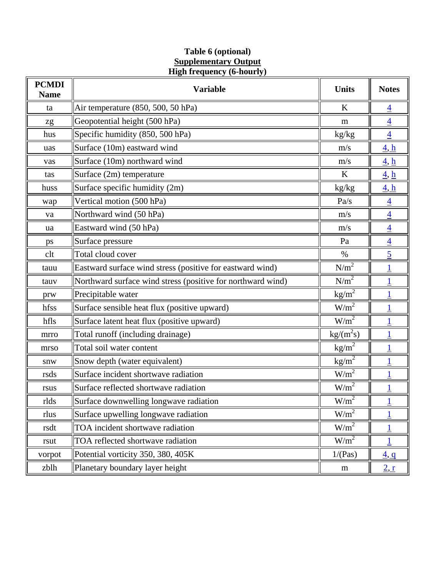#### **Table 6 (optional) Supplementary Output High frequency (6-hourly)**

| <b>PCMDI</b><br><b>Name</b> | <b>Variable</b>                                             | <b>Units</b>              | <b>Notes</b>                    |
|-----------------------------|-------------------------------------------------------------|---------------------------|---------------------------------|
| ta                          | Air temperature (850, 500, 50 hPa)                          | K                         | $\overline{4}$                  |
| zg                          | Geopotential height (500 hPa)                               | m                         | $\overline{4}$                  |
| hus                         | Specific humidity (850, 500 hPa)                            | kg/kg                     | $\overline{4}$                  |
| uas                         | Surface (10m) eastward wind                                 | m/s                       | $\underline{4}, \underline{h}$  |
| vas                         | Surface (10m) northward wind                                | m/s                       | $\overline{4}$ , $\overline{h}$ |
| tas                         | Surface (2m) temperature                                    | K                         | $\underline{4}, \underline{h}$  |
| huss                        | Surface specific humidity (2m)                              | kg/kg                     | $\underline{4}, \underline{h}$  |
| wap                         | Vertical motion (500 hPa)                                   | Pa/s                      | $\overline{4}$                  |
| va                          | Northward wind (50 hPa)                                     | m/s                       | $\overline{4}$                  |
| ua                          | Eastward wind (50 hPa)                                      | m/s                       | $\overline{4}$                  |
| ps                          | Surface pressure                                            | Pa                        | $\overline{4}$                  |
| clt                         | Total cloud cover                                           | %                         | $\overline{5}$                  |
| tauu                        | Eastward surface wind stress (positive for eastward wind)   | N/m <sup>2</sup>          |                                 |
| tauv                        | Northward surface wind stress (positive for northward wind) | $N/m^2$                   |                                 |
| prw                         | Precipitable water                                          | $\text{kg/m}^2$           |                                 |
| hfss                        | Surface sensible heat flux (positive upward)                | $W/m^2$                   |                                 |
| hfls                        | Surface latent heat flux (positive upward)                  | $W/m^2$                   |                                 |
| mrro                        | Total runoff (including drainage)                           | $\text{kg/(m}^2\text{s})$ |                                 |
| mrso                        | Total soil water content                                    | $\text{kg/m}^2$           | 1                               |
| snw                         | Snow depth (water equivalent)                               | $\text{kg/m}^2$           | 1                               |
| rsds                        | Surface incident shortwave radiation                        | $W/m^2$                   |                                 |
| rsus                        | Surface reflected shortwave radiation                       | W/m <sup>2</sup>          |                                 |
| rlds                        | Surface downwelling longwave radiation                      | W/m <sup>2</sup>          |                                 |
| rlus                        | Surface upwelling longwave radiation                        | $\overline{W/m^2}$        |                                 |
| rsdt                        | TOA incident shortwave radiation                            | $W/m^2$                   |                                 |
| rsut                        | TOA reflected shortwave radiation                           | $W/m^2$                   |                                 |
| vorpot                      | Potential vorticity 350, 380, 405K                          | 1/(Pas)                   | $\overline{4}, \overline{q}$    |
| zblh                        | Planetary boundary layer height                             | m                         | 2, r                            |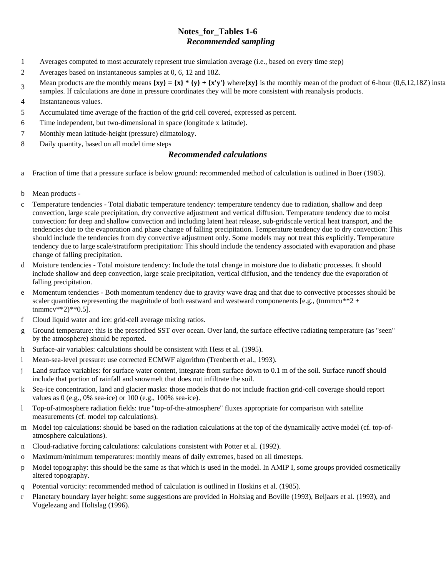#### **Notes\_for\_Tables 1-6**  *Recommended sampling*

- 1 Averages computed to most accurately represent true simulation average (i.e., based on every time step)
- 2 Averages based on instantaneous samples at 0, 6, 12 and 18Z.
- 3 Mean products are the monthly means  $\{xy\} = \{x\} * \{y\} + \{x'y'\}$  where $\{xy\}$  is the monthly mean of the product of 6-hour (0,6,12,18Z) insta samples. If calculations are done in pressure coordinates they will be more consistent with reanalysis products.
- 4 Instantaneous values.
- 5 Accumulated time average of the fraction of the grid cell covered, expressed as percent.
- 6 Time independent, but two-dimensional in space (longitude x latitude).
- 7 Monthly mean latitude-height (pressure) climatology.
- 8 Daily quantity, based on all model time steps

#### *Recommended calculations*

- a Fraction of time that a pressure surface is below ground: recommended method of calculation is outlined in Boer (1985).
- b Mean products -
- c Temperature tendencies Total diabatic temperature tendency: temperature tendency due to radiation, shallow and deep convection, large scale precipitation, dry convective adjustment and vertical diffusion. Temperature tendency due to moist convection: for deep and shallow convection and including latent heat release, sub-gridscale vertical heat transport, and the tendencies due to the evaporation and phase change of falling precipitation. Temperature tendency due to dry convection: This should include the tendencies from dry convective adjustment only. Some models may not treat this explicitly. Temperature tendency due to large scale/stratiform precipitation: This should include the tendency associated with evaporation and phase change of falling precipitation.
- d Moisture tendencies Total moisture tendency: Include the total change in moisture due to diabatic processes. It should include shallow and deep convection, large scale precipitation, vertical diffusion, and the tendency due the evaporation of falling precipitation.
- e Momentum tendencies Both momentum tendency due to gravity wave drag and that due to convective processes should be scaler quantities representing the magnitude of both eastward and westward componenents [e.g., (tnmmcu\*\*2 +  $t$ nmmcv\*\*2)\*\*0.5].
- f Cloud liquid water and ice: grid-cell average mixing ratios.
- g Ground temperature: this is the prescribed SST over ocean. Over land, the surface effective radiating temperature (as "seen" by the atmosphere) should be reported.
- h Surface-air variables: calculations should be consistent with Hess et al. (1995).
- i Mean-sea-level pressure: use corrected ECMWF algorithm (Trenberth et al., 1993).
- j Land surface variables: for surface water content, integrate from surface down to 0.1 m of the soil. Surface runoff should include that portion of rainfall and snowmelt that does not infiltrate the soil.
- k Sea-ice concentration, land and glacier masks: those models that do not include fraction grid-cell coverage should report values as 0 (e.g., 0% sea-ice) or 100 (e.g., 100% sea-ice).
- l Top-of-atmosphere radiation fields: true "top-of-the-atmosphere" fluxes appropriate for comparison with satellite measurements (cf. model top calculations).
- m Model top calculations: should be based on the radiation calculations at the top of the dynamically active model (cf. top-ofatmosphere calculations).
- n Cloud-radiative forcing calculations: calculations consistent with Potter et al. (1992).
- o Maximum/minimum temperatures: monthly means of daily extremes, based on all timesteps.
- p Model topography: this should be the same as that which is used in the model. In AMIP I, some groups provided cosmetically altered topography.
- q Potential vorticity: recommended method of calculation is outlined in Hoskins et al. (1985).
- r Planetary boundary layer height: some suggestions are provided in Holtslag and Boville (1993), Beljaars et al. (1993), and Vogelezang and Holtslag (1996).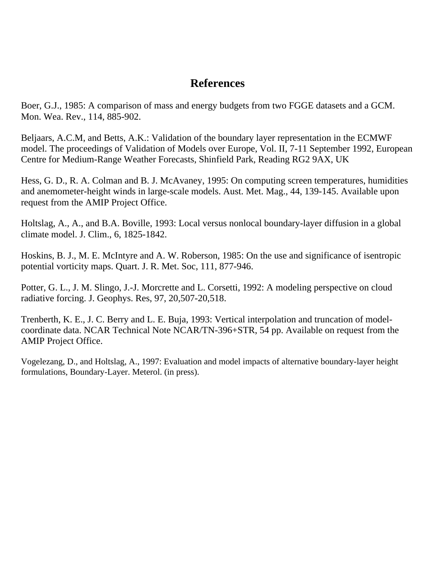# **References**

Boer, G.J., 1985: A comparison of mass and energy budgets from two FGGE datasets and a GCM. Mon. Wea. Rev., 114, 885-902.

Beljaars, A.C.M, and Betts, A.K.: Validation of the boundary layer representation in the ECMWF model. The proceedings of Validation of Models over Europe, Vol. II, 7-11 September 1992, European Centre for Medium-Range Weather Forecasts, Shinfield Park, Reading RG2 9AX, UK

Hess, G. D., R. A. Colman and B. J. McAvaney, 1995: On computing screen temperatures, humidities and anemometer-height winds in large-scale models. Aust. Met. Mag., 44, 139-145. Available upon request from the AMIP Project Office.

Holtslag, A., A., and B.A. Boville, 1993: Local versus nonlocal boundary-layer diffusion in a global climate model. J. Clim., 6, 1825-1842.

Hoskins, B. J., M. E. McIntyre and A. W. Roberson, 1985: On the use and significance of isentropic potential vorticity maps. Quart. J. R. Met. Soc, 111, 877-946.

Potter, G. L., J. M. Slingo, J.-J. Morcrette and L. Corsetti, 1992: A modeling perspective on cloud radiative forcing. J. Geophys. Res, 97, 20,507-20,518.

Trenberth, K. E., J. C. Berry and L. E. Buja, 1993: Vertical interpolation and truncation of modelcoordinate data. NCAR Technical Note NCAR/TN-396+STR, 54 pp. Available on request from the AMIP Project Office.

Vogelezang, D., and Holtslag, A., 1997: Evaluation and model impacts of alternative boundary-layer height formulations, Boundary-Layer. Meterol. (in press).